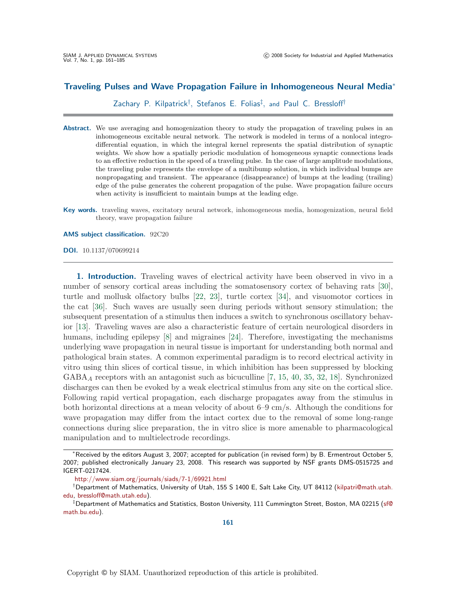## **Traveling Pulses and Wave Propagation Failure in Inhomogeneous Neural Media**<sup>∗</sup>

Zachary P. Kilpatrick† , Stefanos E. Folias‡ , and Paul C. Bressloff†

- Abstract. We use averaging and homogenization theory to study the propagation of traveling pulses in an inhomogeneous excitable neural network. The network is modeled in terms of a nonlocal integrodifferential equation, in which the integral kernel represents the spatial distribution of synaptic weights. We show how a spatially periodic modulation of homogeneous synaptic connections leads to an effective reduction in the speed of a traveling pulse. In the case of large amplitude modulations, the traveling pulse represents the envelope of a multibump solution, in which individual bumps are nonpropagating and transient. The appearance (disappearance) of bumps at the leading (trailing) edge of the pulse generates the coherent propagation of the pulse. Wave propagation failure occurs when activity is insufficient to maintain bumps at the leading edge.
- **Key words.** traveling waves, excitatory neural network, inhomogeneous media, homogenization, neural field theory, wave propagation failure

**AMS subject classification.** 92C20

**DOI.** 10.1137/070699214

**1. Introduction.** Traveling waves of electrical activity have been observed in vivo in a number of sensory cortical areas including the somatosensory cortex of behaving rats [\[30\]](#page-24-0), turtle and mollusk olfactory bulbs [\[22,](#page-23-0) [23\]](#page-23-0), turtle cortex [\[34\]](#page-24-0), and visuomotor cortices in the cat [\[36\]](#page-24-0). Such waves are usually seen during periods without sensory stimulation; the subsequent presentation of a stimulus then induces a switch to synchronous oscillatory behavior [\[13\]](#page-23-0). Traveling waves are also a characteristic feature of certain neurological disorders in humans, including epilepsy [\[8\]](#page-23-0) and migraines [\[24\]](#page-23-0). Therefore, investigating the mechanisms underlying wave propagation in neural tissue is important for understanding both normal and pathological brain states. A common experimental paradigm is to record electrical activity in vitro using thin slices of cortical tissue, in which inhibition has been suppressed by blocking  $GABA_A$  receptors with an antagonist such as bicuculline [\[7,](#page-23-0) [15,](#page-23-0) [40,](#page-24-0) [35,](#page-24-0) [32,](#page-24-0) [18\]](#page-23-0). Synchronized discharges can then be evoked by a weak electrical stimulus from any site on the cortical slice. Following rapid vertical propagation, each discharge propagates away from the stimulus in both horizontal directions at a mean velocity of about 6–9 cm/s. Although the conditions for wave propagation may differ from the intact cortex due to the removal of some long-range connections during slice preparation, the in vitro slice is more amenable to pharmacological manipulation and to multielectrode recordings.

<sup>∗</sup>Received by the editors August 3, 2007; accepted for publication (in revised form) by B. Ermentrout October 5, 2007; published electronically January 23, 2008. This research was supported by NSF grants DMS-0515725 and IGERT-0217424.

<http://www.siam.org/journals/siads/7-1/69921.html>

<sup>†</sup>Department of Mathematics, University of Utah, 155 S 1400 E, Salt Lake City, UT 84112 [\(kilpatri@math.utah.](mailto:kilpatri@math.utah.edu) [edu,](mailto:kilpatri@math.utah.edu) [bressloff@math.utah.edu\)](mailto:bressloff@math.utah.edu).

<sup>‡</sup>Department of Mathematics and Statistics, Boston University, 111 Cummington Street, Boston, MA 02215 [\(sf@](mailto:sf@math.bu.edu) [math.bu.edu\)](mailto:sf@math.bu.edu).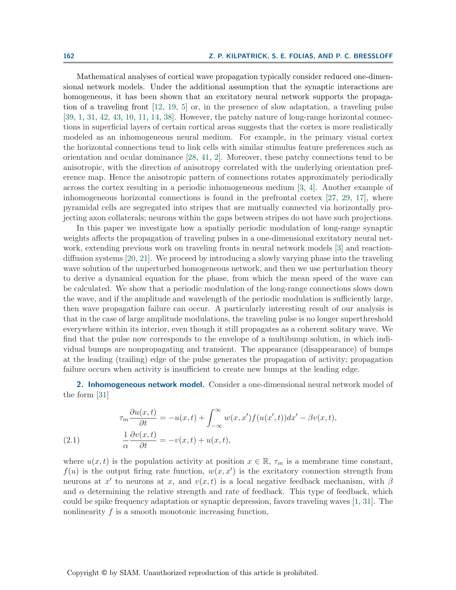<span id="page-1-0"></span>Mathematical analyses of cortical wave propagation typically consider reduced one-dimensional network models. Under the additional assumption that the synaptic interactions are homogeneous, it has been shown that an excitatory neural network supports the propagation of a traveling front [\[12,](#page-23-0) [19,](#page-23-0) [5\]](#page-23-0) or, in the presence of slow adaptation, a traveling pulse [\[39,](#page-24-0) [1,](#page-22-0) [31,](#page-24-0) [42,](#page-24-0) [43,](#page-24-0) [10,](#page-23-0) [11,](#page-23-0) [14,](#page-23-0) [38\]](#page-24-0). However, the patchy nature of long-range horizontal connections in superficial layers of certain cortical areas suggests that the cortex is more realistically modeled as an inhomogeneous neural medium. For example, in the primary visual cortex the horizontal connections tend to link cells with similar stimulus feature preferences such as orientation and ocular dominance [\[28,](#page-23-0) [41,](#page-24-0) [2\]](#page-22-0). Moreover, these patchy connections tend to be anisotropic, with the direction of anisotropy correlated with the underlying orientation preference map. Hence the anisotropic pattern of connections rotates approximately periodically across the cortex resulting in a periodic inhomogeneous medium [\[3,](#page-22-0) [4\]](#page-22-0). Another example of inhomogeneous horizontal connections is found in the prefrontal cortex [\[27,](#page-23-0) [29,](#page-23-0) [17\]](#page-23-0), where pyramidal cells are segregated into stripes that are mutually connected via horizontally projecting axon collaterals; neurons within the gaps between stripes do not have such projections.

In this paper we investigate how a spatially periodic modulation of long-range synaptic weights affects the propagation of traveling pulses in a one-dimensional excitatory neural network, extending previous work on traveling fronts in neural network models [\[3\]](#page-22-0) and reactiondiffusion systems [\[20,](#page-23-0) [21\]](#page-23-0). We proceed by introducing a slowly varying phase into the traveling wave solution of the unperturbed homogeneous network, and then we use perturbation theory to derive a dynamical equation for the phase, from which the mean speed of the wave can be calculated. We show that a periodic modulation of the long-range connections slows down the wave, and if the amplitude and wavelength of the periodic modulation is sufficiently large, then wave propagation failure can occur. A particularly interesting result of our analysis is that in the case of large amplitude modulations, the traveling pulse is no longer superthreshold everywhere within its interior, even though it still propagates as a coherent solitary wave. We find that the pulse now corresponds to the envelope of a multibump solution, in which individual bumps are nonpropagating and transient. The appearance (disappearance) of bumps at the leading (trailing) edge of the pulse generates the propagation of activity; propagation failure occurs when activity is insufficient to create new bumps at the leading edge.

**2. Inhomogeneous network model.** Consider a one-dimensional neural network model of the form [\[31\]](#page-24-0)

(2.1) 
$$
\tau_m \frac{\partial u(x,t)}{\partial t} = -u(x,t) + \int_{-\infty}^{\infty} w(x,x') f(u(x',t)) dx' - \beta v(x,t),
$$

$$
\frac{1}{\alpha} \frac{\partial v(x,t)}{\partial t} = -v(x,t) + u(x,t),
$$

where  $u(x, t)$  is the population activity at position  $x \in \mathbb{R}$ ,  $\tau_m$  is a membrane time constant,  $f(u)$  is the output firing rate function,  $w(x, x')$  is the excitatory connection strength from neurons at x' to neurons at x, and  $v(x, t)$  is a local negative feedback mechanism, with  $\beta$ and  $\alpha$  determining the relative strength and rate of feedback. This type of feedback, which could be spike frequency adaptation or synaptic depression, favors traveling waves [\[1,](#page-22-0) [31\]](#page-24-0). The nonlinearity  $f$  is a smooth monotonic increasing function,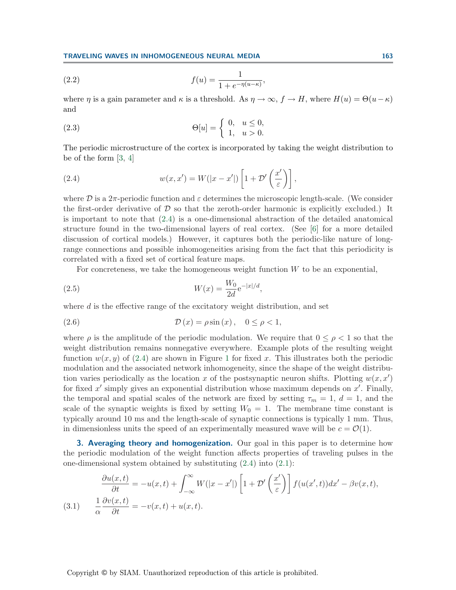<span id="page-2-0"></span>(2.2) 
$$
f(u) = \frac{1}{1 + e^{-\eta(u - \kappa)}},
$$

where  $\eta$  is a gain parameter and  $\kappa$  is a threshold. As  $\eta \to \infty$ ,  $f \to H$ , where  $H(u) = \Theta(u - \kappa)$ and

(2.3) 
$$
\Theta[u] = \begin{cases} 0, & u \leq 0, \\ 1, & u > 0. \end{cases}
$$

The periodic microstructure of the cortex is incorporated by taking the weight distribution to be of the form [\[3,](#page-22-0) [4\]](#page-22-0)

(2.4) 
$$
w(x, x') = W(|x - x'|) \left[1 + \mathcal{D}'\left(\frac{x'}{\varepsilon}\right)\right],
$$

where  $\mathcal D$  is a 2 $\pi$ -periodic function and  $\varepsilon$  determines the microscopic length-scale. (We consider the first-order derivative of  $D$  so that the zeroth-order harmonic is explicitly excluded.) It is important to note that (2.4) is a one-dimensional abstraction of the detailed anatomical structure found in the two-dimensional layers of real cortex. (See [\[6\]](#page-23-0) for a more detailed discussion of cortical models.) However, it captures both the periodic-like nature of longrange connections and possible inhomogeneities arising from the fact that this periodicity is correlated with a fixed set of cortical feature maps.

For concreteness, we take the homogeneous weight function  $W$  to be an exponential,

(2.5) 
$$
W(x) = \frac{W_0}{2d} e^{-|x|/d},
$$

where d is the effective range of the excitatory weight distribution, and set

(2.6) 
$$
\mathcal{D}(x) = \rho \sin(x), \quad 0 \le \rho < 1,
$$

where  $\rho$  is the amplitude of the periodic modulation. We require that  $0 \leq \rho < 1$  so that the weight distribution remains nonnegative everywhere. Example plots of the resulting weight function  $w(x, y)$  of (2.4) are shown in Figure [1](#page-3-0) for fixed x. This illustrates both the periodic modulation and the associated network inhomogeneity, since the shape of the weight distribution varies periodically as the location x of the postsynaptic neuron shifts. Plotting  $w(x, x')$ for fixed  $x'$  simply gives an exponential distribution whose maximum depends on  $x'$ . Finally, the temporal and spatial scales of the network are fixed by setting  $\tau_m = 1, d = 1$ , and the scale of the synaptic weights is fixed by setting  $W_0 = 1$ . The membrane time constant is typically around 10 ms and the length-scale of synaptic connections is typically 1 mm. Thus, in dimensionless units the speed of an experimentally measured wave will be  $c = \mathcal{O}(1)$ .

**3. Averaging theory and homogenization.** Our goal in this paper is to determine how the periodic modulation of the weight function affects properties of traveling pulses in the one-dimensional system obtained by substituting (2.4) into [\(2.1\)](#page-1-0):

$$
\frac{\partial u(x,t)}{\partial t} = -u(x,t) + \int_{-\infty}^{\infty} W(|x - x'|) \left[ 1 + \mathcal{D}'\left(\frac{x'}{\varepsilon}\right) \right] f(u(x',t)) dx' - \beta v(x,t),
$$
\n(3.1) 
$$
\frac{1}{\alpha} \frac{\partial v(x,t)}{\partial t} = -v(x,t) + u(x,t).
$$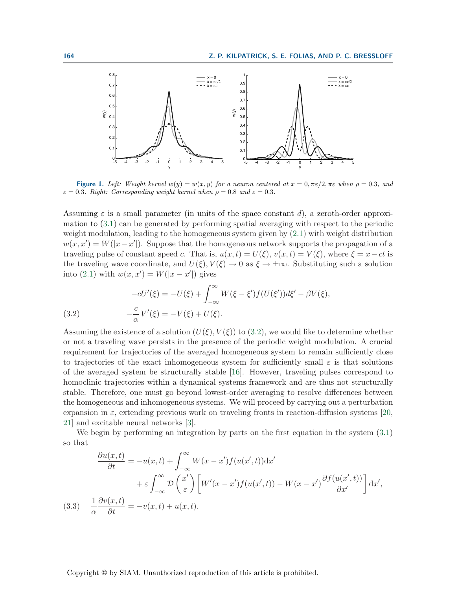<span id="page-3-0"></span>

**Figure 1.** Left: Weight kernel  $w(y) = w(x, y)$  for a neuron centered at  $x = 0, \pi \varepsilon/2, \pi \varepsilon$  when  $\rho = 0.3$ , and  $\varepsilon = 0.3$ . Right: Corresponding weight kernel when  $\rho = 0.8$  and  $\varepsilon = 0.3$ .

Assuming  $\varepsilon$  is a small parameter (in units of the space constant d), a zeroth-order approximation to [\(3.1\)](#page-2-0) can be generated by performing spatial averaging with respect to the periodic weight modulation, leading to the homogeneous system given by [\(2.1\)](#page-1-0) with weight distribution  $w(x, x') = W(|x - x'|)$ . Suppose that the homogeneous network supports the propagation of a traveling pulse of constant speed c. That is,  $u(x, t) = U(\xi)$ ,  $v(x, t) = V(\xi)$ , where  $\xi = x - ct$  is the traveling wave coordinate, and  $U(\xi), V(\xi) \to 0$  as  $\xi \to \pm \infty$ . Substituting such a solution into [\(2.1\)](#page-1-0) with  $w(x, x') = W(|x - x'|)$  gives

(3.2) 
$$
-cU'(\xi) = -U(\xi) + \int_{-\infty}^{\infty} W(\xi - \xi') f(U(\xi')) d\xi' - \beta V(\xi),
$$

$$
-\frac{c}{\alpha} V'(\xi) = -V(\xi) + U(\xi).
$$

Assuming the existence of a solution  $(U(\xi), V(\xi))$  to (3.2), we would like to determine whether or not a traveling wave persists in the presence of the periodic weight modulation. A crucial requirement for trajectories of the averaged homogeneous system to remain sufficiently close to trajectories of the exact inhomogeneous system for sufficiently small  $\varepsilon$  is that solutions of the averaged system be structurally stable [\[16\]](#page-23-0). However, traveling pulses correspond to homoclinic trajectories within a dynamical systems framework and are thus not structurally stable. Therefore, one must go beyond lowest-order averaging to resolve differences between the homogeneous and inhomogeneous systems. We will proceed by carrying out a perturbation expansion in  $\varepsilon$ , extending previous work on traveling fronts in reaction-diffusion systems [\[20,](#page-23-0) [21\]](#page-23-0) and excitable neural networks [\[3\]](#page-22-0).

We begin by performing an integration by parts on the first equation in the system  $(3.1)$ so that

$$
\frac{\partial u(x,t)}{\partial t} = -u(x,t) + \int_{-\infty}^{\infty} W(x-x')f(u(x',t))dx'\n+ \varepsilon \int_{-\infty}^{\infty} \mathcal{D}\left(\frac{x'}{\varepsilon}\right) \left[W'(x-x')f(u(x',t)) - W(x-x')\frac{\partial f(u(x',t))}{\partial x'}\right] dx',
$$
\n(3.3) 
$$
\frac{1}{\alpha} \frac{\partial v(x,t)}{\partial t} = -v(x,t) + u(x,t).
$$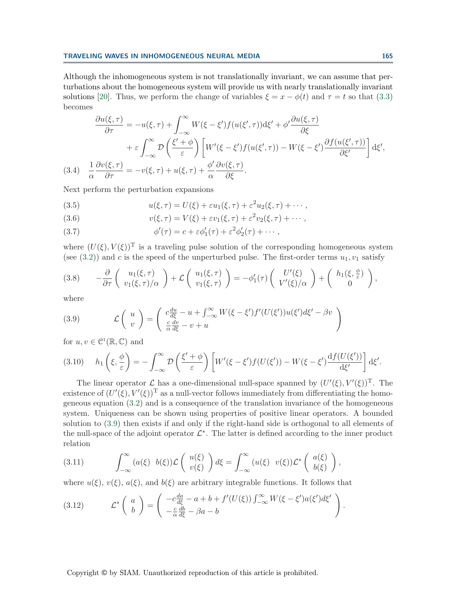<span id="page-4-0"></span>Although the inhomogeneous system is not translationally invariant, we can assume that perturbations about the homogeneous system will provide us with nearly translationally invariant solutions [\[20\]](#page-23-0). Thus, we perform the change of variables  $\xi = x - \phi(t)$  and  $\tau = t$  so that [\(3.3\)](#page-3-0) becomes

$$
\frac{\partial u(\xi,\tau)}{\partial \tau} = -u(\xi,\tau) + \int_{-\infty}^{\infty} W(\xi - \xi') f(u(\xi',\tau)) \mathrm{d}\xi' + \phi' \frac{\partial u(\xi,\tau)}{\partial \xi} \n+ \varepsilon \int_{-\infty}^{\infty} \mathcal{D} \left( \frac{\xi' + \phi}{\varepsilon} \right) \left[ W'(\xi - \xi') f(u(\xi',\tau)) - W(\xi - \xi') \frac{\partial f(u(\xi',\tau))}{\partial \xi'} \right] \mathrm{d}\xi',
$$
\n(3.4) 
$$
\frac{1}{\alpha} \frac{\partial v(\xi,\tau)}{\partial \tau} = -v(\xi,\tau) + u(\xi,\tau) + \frac{\phi'}{\alpha} \frac{\partial v(\xi,\tau)}{\partial \xi}.
$$

Next perform the perturbation expansions

(3.5) 
$$
u(\xi,\tau) = U(\xi) + \varepsilon u_1(\xi,\tau) + \varepsilon^2 u_2(\xi,\tau) + \cdots,
$$

(3.6) 
$$
v(\xi,\tau)=V(\xi)+\varepsilon v_1(\xi,\tau)+\varepsilon^2v_2(\xi,\tau)+\cdots,
$$

(3.7) 
$$
\phi'(\tau) = c + \varepsilon \phi'_1(\tau) + \varepsilon^2 \phi'_2(\tau) + \cdots,
$$

where  $(U(\xi), V(\xi))^T$  is a traveling pulse solution of the corresponding homogeneous system (see  $(3.2)$ ) and c is the speed of the unperturbed pulse. The first-order terms  $u_1, v_1$  satisfy

$$
(3.8) \qquad -\frac{\partial}{\partial \tau} \left( \begin{array}{c} u_1(\xi,\tau) \\ v_1(\xi,\tau)/\alpha \end{array} \right) + \mathcal{L} \left( \begin{array}{c} u_1(\xi,\tau) \\ v_1(\xi,\tau) \end{array} \right) = -\phi'_1(\tau) \left( \begin{array}{c} U'(\xi) \\ V'(\xi)/\alpha \end{array} \right) + \left( \begin{array}{c} h_1(\xi,\frac{\phi}{\varepsilon}) \\ 0 \end{array} \right),
$$

where

(3.9) 
$$
\mathcal{L}\begin{pmatrix} u \\ v \end{pmatrix} = \begin{pmatrix} c\frac{du}{d\xi} - u + \int_{-\infty}^{\infty} W(\xi - \xi') f'(U(\xi'))u(\xi')d\xi' - \beta v \\ \frac{c}{\alpha}\frac{dv}{d\xi} - v + u \end{pmatrix}
$$

for  $u, v \in \mathcal{C}^1(\mathbb{R}, \mathbb{C})$  and

$$
(3.10) \qquad h_1\left(\xi, \frac{\phi}{\varepsilon}\right) = -\int_{-\infty}^{\infty} \mathcal{D}\left(\frac{\xi' + \phi}{\varepsilon}\right) \left[W'(\xi - \xi')f(U(\xi')) - W(\xi - \xi')\frac{\mathrm{d}f(U(\xi'))}{\mathrm{d}\xi'}\right] \mathrm{d}\xi'.
$$

The linear operator  $\mathcal L$  has a one-dimensional null-space spanned by  $(U'(\xi), V'(\xi))^T$ . The existence of  $(U'(\xi), V'(\xi))^T$  as a null-vector follows immediately from differentiating the homogeneous equation [\(3.2\)](#page-3-0) and is a consequence of the translation invariance of the homogeneous system. Uniqueness can be shown using properties of positive linear operators. A bounded solution to (3.9) then exists if and only if the right-hand side is orthogonal to all elements of the null-space of the adjoint operator  $\mathcal{L}^*$ . The latter is defined according to the inner product relation

(3.11) 
$$
\int_{-\infty}^{\infty} (a(\xi) \ b(\xi)) \mathcal{L} \begin{pmatrix} u(\xi) \\ v(\xi) \end{pmatrix} d\xi = \int_{-\infty}^{\infty} (u(\xi) \ v(\xi)) \mathcal{L}^* \begin{pmatrix} a(\xi) \\ b(\xi) \end{pmatrix},
$$

where  $u(\xi)$ ,  $v(\xi)$ ,  $a(\xi)$ , and  $b(\xi)$  are arbitrary integrable functions. It follows that

(3.12) 
$$
\mathcal{L}^* \left( \begin{array}{c} a \\ b \end{array} \right) = \left( \begin{array}{c} -c\frac{da}{d\xi} - a + b + f'(U(\xi)) \int_{-\infty}^{\infty} W(\xi - \xi') a(\xi') d\xi' \\ -\frac{c}{\alpha} \frac{db}{d\xi} - \beta a - b \end{array} \right).
$$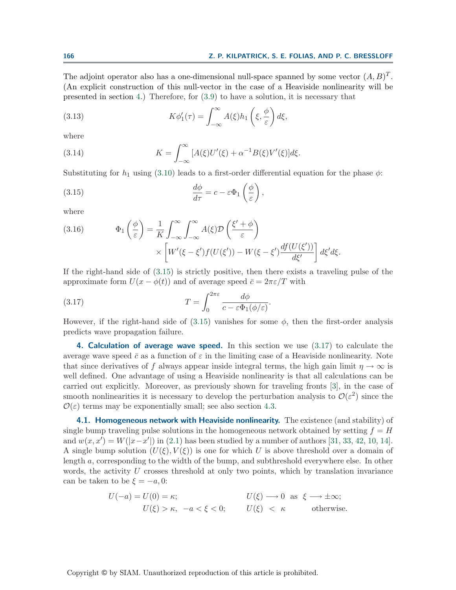<span id="page-5-0"></span>The adjoint operator also has a one-dimensional null-space spanned by some vector  $(A, B)^T$ . (An explicit construction of this null-vector in the case of a Heaviside nonlinearity will be presented in section 4.) Therefore, for [\(3.9\)](#page-4-0) to have a solution, it is necessary that

(3.13) 
$$
K\phi_1'(\tau) = \int_{-\infty}^{\infty} A(\xi)h_1\left(\xi, \frac{\phi}{\varepsilon}\right)d\xi,
$$

where

(3.14) 
$$
K = \int_{-\infty}^{\infty} [A(\xi)U'(\xi) + \alpha^{-1}B(\xi)V'(\xi)]d\xi.
$$

Substituting for  $h_1$  using [\(3.10\)](#page-4-0) leads to a first-order differential equation for the phase  $\phi$ :

(3.15) 
$$
\frac{d\phi}{d\tau} = c - \varepsilon \Phi_1 \left(\frac{\phi}{\varepsilon}\right),
$$

where

(3.16) 
$$
\Phi_1\left(\frac{\phi}{\varepsilon}\right) = \frac{1}{K} \int_{-\infty}^{\infty} \int_{-\infty}^{\infty} A(\xi) \mathcal{D}\left(\frac{\xi' + \phi}{\varepsilon}\right) \times \left[W'(\xi - \xi')f(U(\xi')) - W(\xi - \xi')\frac{df(U(\xi'))}{d\xi'}\right] d\xi' d\xi.
$$

If the right-hand side of (3.15) is strictly positive, then there exists a traveling pulse of the approximate form  $U(x - \phi(t))$  and of average speed  $\bar{c} = 2\pi\varepsilon/T$  with

(3.17) 
$$
T = \int_0^{2\pi\varepsilon} \frac{d\phi}{c - \varepsilon \Phi_1(\phi/\varepsilon)}
$$

However, if the right-hand side of (3.15) vanishes for some  $\phi$ , then the first-order analysis predicts wave propagation failure.

.

**4. Calculation of average wave speed.** In this section we use (3.17) to calculate the average wave speed  $\bar{c}$  as a function of  $\varepsilon$  in the limiting case of a Heaviside nonlinearity. Note that since derivatives of f always appear inside integral terms, the high gain limit  $\eta \to \infty$  is well defined. One advantage of using a Heaviside nonlinearity is that all calculations can be carried out explicitly. Moreover, as previously shown for traveling fronts [\[3\]](#page-22-0), in the case of smooth nonlinearities it is necessary to develop the perturbation analysis to  $\mathcal{O}(\varepsilon^2)$  since the  $\mathcal{O}(\varepsilon)$  terms may be exponentially small; see also section [4.3.](#page-12-0)

**4.1. Homogeneous network with Heaviside nonlinearity.** The existence (and stability) of single bump traveling pulse solutions in the homogeneous network obtained by setting  $f = H$ and  $w(x, x') = W(|x - x'|)$  in [\(2.1\)](#page-1-0) has been studied by a number of authors [\[31,](#page-24-0) [33,](#page-24-0) [42,](#page-24-0) [10,](#page-23-0) [14\]](#page-23-0). A single bump solution  $(U(\xi), V(\xi))$  is one for which U is above threshold over a domain of length a, corresponding to the width of the bump, and subthreshold everywhere else. In other words, the activity  $U$  crosses threshold at only two points, which by translation invariance can be taken to be  $\xi = -a, 0$ :

$$
U(-a) = U(0) = \kappa; \t\t U(\xi) \longrightarrow 0 \t as \t\xi \longrightarrow \pm \infty; U(\xi) > \kappa, \ -a < \xi < 0; \t\t U(\xi) < \kappa \t otherwise.
$$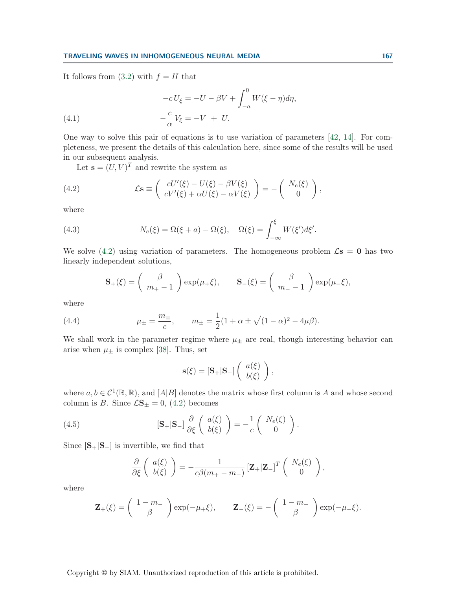<span id="page-6-0"></span>It follows from  $(3.2)$  with  $f = H$  that

(4.1) 
$$
-c U_{\xi} = -U - \beta V + \int_{-a}^{0} W(\xi - \eta) d\eta,
$$

$$
- \frac{c}{\alpha} V_{\xi} = -V + U.
$$

One way to solve this pair of equations is to use variation of parameters  $[42, 14]$  $[42, 14]$  $[42, 14]$ . For completeness, we present the details of this calculation here, since some of the results will be used in our subsequent analysis.

Let  $\mathbf{s} = (U, V)^T$  and rewrite the system as

(4.2) 
$$
\mathcal{L}\mathbf{s} \equiv \begin{pmatrix} cU'(\xi) - U(\xi) - \beta V(\xi) \\ cV'(\xi) + \alpha U(\xi) - \alpha V(\xi) \end{pmatrix} = -\begin{pmatrix} N_e(\xi) \\ 0 \end{pmatrix},
$$

where

(4.3) 
$$
N_e(\xi) = \Omega(\xi + a) - \Omega(\xi), \quad \Omega(\xi) = \int_{-\infty}^{\xi} W(\xi') d\xi'.
$$

We solve  $(4.2)$  using variation of parameters. The homogeneous problem  $\mathcal{L}$ **s** = **0** has two linearly independent solutions,

$$
\mathbf{S}_{+}(\xi) = \begin{pmatrix} \beta \\ m_{+} - 1 \end{pmatrix} \exp(\mu_{+} \xi), \quad \mathbf{S}_{-}(\xi) = \begin{pmatrix} \beta \\ m_{-} - 1 \end{pmatrix} \exp(\mu_{-} \xi),
$$

where

(4.4) 
$$
\mu_{\pm} = \frac{m_{\pm}}{c}, \qquad m_{\pm} = \frac{1}{2}(1 + \alpha \pm \sqrt{(1 - \alpha)^2 - 4\mu\beta}).
$$

We shall work in the parameter regime where  $\mu_{\pm}$  are real, though interesting behavior can arise when  $\mu_{\pm}$  is complex [\[38\]](#page-24-0). Thus, set

$$
\mathbf{s}(\xi) = [\mathbf{S}_{+}|\mathbf{S}_{-}] \left( \begin{array}{c} a(\xi) \\ b(\xi) \end{array} \right),
$$

where  $a, b \in C^1(\mathbb{R}, \mathbb{R})$ , and  $[A|B]$  denotes the matrix whose first column is A and whose second column is B. Since  $\mathcal{L}S_{\pm} = 0$ , (4.2) becomes

(4.5) 
$$
[\mathbf{S}_{+}|\mathbf{S}_{-}] \frac{\partial}{\partial \xi} \begin{pmatrix} a(\xi) \\ b(\xi) \end{pmatrix} = -\frac{1}{c} \begin{pmatrix} N_e(\xi) \\ 0 \end{pmatrix}.
$$

Since  $[S_+|S_-]$  is invertible, we find that

$$
\frac{\partial}{\partial \xi} \left( \begin{array}{c} a(\xi) \\ b(\xi) \end{array} \right) = -\frac{1}{c\beta(m_+ - m_-)} \left[ \mathbf{Z}_+ \middle| \mathbf{Z}_- \right]^T \left( \begin{array}{c} N_e(\xi) \\ 0 \end{array} \right),
$$

where

$$
\mathbf{Z}_{+}(\xi) = \begin{pmatrix} 1 - m_{-} \\ \beta \end{pmatrix} \exp(-\mu_{+} \xi), \quad \mathbf{Z}_{-}(\xi) = -\begin{pmatrix} 1 - m_{+} \\ \beta \end{pmatrix} \exp(-\mu_{-} \xi).
$$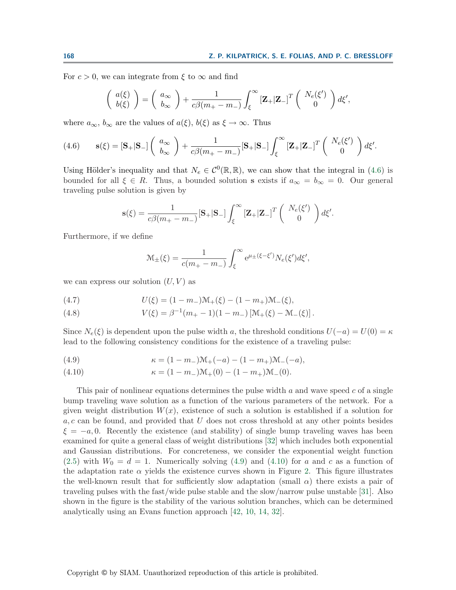<span id="page-7-0"></span>For  $c > 0$ , we can integrate from  $\xi$  to  $\infty$  and find

$$
\begin{pmatrix} a(\xi) \\ b(\xi) \end{pmatrix} = \begin{pmatrix} a_{\infty} \\ b_{\infty} \end{pmatrix} + \frac{1}{c\beta(m_{+} - m_{-})} \int_{\xi}^{\infty} \left[ \mathbf{Z}_{+} | \mathbf{Z}_{-} \right]^{T} \begin{pmatrix} N_{e}(\xi') \\ 0 \end{pmatrix} d\xi',
$$

where  $a_{\infty}, b_{\infty}$  are the values of  $a(\xi), b(\xi)$  as  $\xi \to \infty$ . Thus

(4.6) 
$$
\mathbf{s}(\xi) = [\mathbf{S}_{+}|\mathbf{S}_{-}] \begin{pmatrix} a_{\infty} \\ b_{\infty} \end{pmatrix} + \frac{1}{c\beta(m_{+} - m_{-})} [\mathbf{S}_{+}|\mathbf{S}_{-}] \int_{\xi}^{\infty} [\mathbf{Z}_{+}|\mathbf{Z}_{-}]^{T} \begin{pmatrix} N_{e}(\xi') \\ 0 \end{pmatrix} d\xi'.
$$

Using Hölder's inequality and that  $N_e \in C^0(\mathbb{R}, \mathbb{R})$ , we can show that the integral in (4.6) is bounded for all  $\xi \in R$ . Thus, a bounded solution **s** exists if  $a_{\infty} = b_{\infty} = 0$ . Our general traveling pulse solution is given by

$$
\mathbf{s}(\xi) = \frac{1}{c\beta(m_+ - m_-)}[\mathbf{S}_+|\mathbf{S}_-] \int_{\xi}^{\infty} [\mathbf{Z}_+|\mathbf{Z}_-]^T \begin{pmatrix} N_e(\xi') \\ 0 \end{pmatrix} d\xi'.
$$

Furthermore, if we define

$$
\mathcal{M}_{\pm}(\xi) = \frac{1}{c(m_+ - m_-)} \int_{\xi}^{\infty} e^{\mu_{\pm}(\xi - \xi')} N_e(\xi') d\xi',
$$

we can express our solution  $(U, V)$  as

(4.7) 
$$
U(\xi) = (1 - m_-) \mathcal{M}_+(\xi) - (1 - m_+) \mathcal{M}_-(\xi),
$$

(4.8) 
$$
V(\xi) = \beta^{-1}(m_+ - 1)(1 - m_-) [\mathcal{M}_+(\xi) - \mathcal{M}_-(\xi)].
$$

Since  $N_e(\xi)$  is dependent upon the pulse width a, the threshold conditions  $U(-a) = U(0) = \kappa$ lead to the following consistency conditions for the existence of a traveling pulse:

(4.9) 
$$
\kappa = (1 - m_-) \mathcal{M}_+(-a) - (1 - m_+) \mathcal{M}_-(-a),
$$

(4.10) 
$$
\kappa = (1 - m_-) \mathcal{M}_+(0) - (1 - m_+) \mathcal{M}_-(0).
$$

This pair of nonlinear equations determines the pulse width  $a$  and wave speed  $c$  of a single bump traveling wave solution as a function of the various parameters of the network. For a given weight distribution  $W(x)$ , existence of such a solution is established if a solution for  $a, c$  can be found, and provided that U does not cross threshold at any other points besides  $\xi = -a, 0$ . Recently the existence (and stability) of single bump traveling waves has been examined for quite a general class of weight distributions [\[32\]](#page-24-0) which includes both exponential and Gaussian distributions. For concreteness, we consider the exponential weight function  $(2.5)$  with  $W_0 = d = 1$ . Numerically solving  $(4.9)$  and  $(4.10)$  for a and c as a function of the adaptation rate  $\alpha$  yields the existence curves shown in Figure [2.](#page-8-0) This figure illustrates the well-known result that for sufficiently slow adaptation (small  $\alpha$ ) there exists a pair of traveling pulses with the fast/wide pulse stable and the slow/narrow pulse unstable [\[31\]](#page-24-0). Also shown in the figure is the stability of the various solution branches, which can be determined analytically using an Evans function approach [\[42,](#page-24-0) [10,](#page-23-0) [14,](#page-23-0) [32\]](#page-24-0).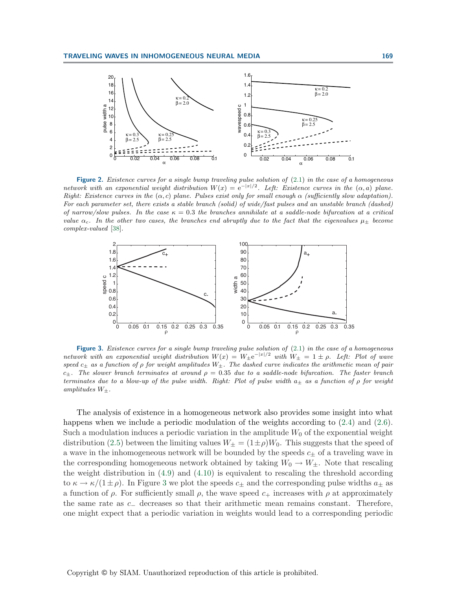<span id="page-8-0"></span>

**Figure 2.** Existence curves for a single bump traveling pulse solution of [\(2.1\)](#page-1-0) in the case of a homogeneous network with an exponential weight distribution  $W(x)=e^{-|x|/2}$ . Left: Existence curves in the  $(\alpha, a)$  plane. Right: Existence curves in the  $(\alpha, c)$  plane. Pulses exist only for small enough  $\alpha$  (sufficiently slow adaptation). For each parameter set, there exists a stable branch (solid) of wide/fast pulses and an unstable branch (dashed) of narrow/slow pulses. In the case  $\kappa = 0.3$  the branches annihilate at a saddle-node bifurcation at a critical value  $\alpha_c$ . In the other two cases, the branches end abruptly due to the fact that the eigenvalues  $\mu_{\pm}$  become complex-valued [\[38\]](#page-24-0).



**Figure 3.** Existence curves for a single bump traveling pulse solution of [\(2.1\)](#page-1-0) in the case of a homogeneous network with an exponential weight distribution  $W(x) = W_{\pm}e^{-|x|/2}$  with  $W_{\pm} = 1 \pm \rho$ . Left: Plot of wave speed  $c_{\pm}$  as a function of  $\rho$  for weight amplitudes  $W_{\pm}$ . The dashed curve indicates the arithmetic mean of pair c $\pm$ . The slower branch terminates at around  $\rho = 0.35$  due to a saddle-node bifurcation. The faster branch terminates due to a blow-up of the pulse width. Right: Plot of pulse width  $a_{\pm}$  as a function of  $\rho$  for weight amplitudes  $W_{\pm}$ .

The analysis of existence in a homogeneous network also provides some insight into what happens when we include a periodic modulation of the weights according to  $(2.4)$  and  $(2.6)$ . Such a modulation induces a periodic variation in the amplitude  $W_0$  of the exponential weight distribution [\(2.5\)](#page-2-0) between the limiting values  $W_+ = (1 \pm \rho)W_0$ . This suggests that the speed of a wave in the inhomogeneous network will be bounded by the speeds  $c_{\pm}$  of a traveling wave in the corresponding homogeneous network obtained by taking  $W_0 \to W_{\pm}$ . Note that rescaling the weight distribution in [\(4.9\)](#page-7-0) and [\(4.10\)](#page-7-0) is equivalent to rescaling the threshold according to  $\kappa \to \kappa/(1 \pm \rho)$ . In Figure 3 we plot the speeds  $c_{\pm}$  and the corresponding pulse widths  $a_{\pm}$  as a function of  $\rho$ . For sufficiently small  $\rho$ , the wave speed  $c_+$  increases with  $\rho$  at approximately the same rate as c<sup>−</sup> decreases so that their arithmetic mean remains constant. Therefore, one might expect that a periodic variation in weights would lead to a corresponding periodic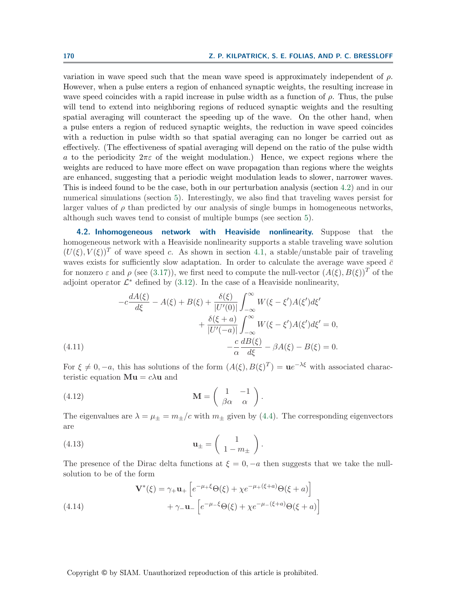<span id="page-9-0"></span>variation in wave speed such that the mean wave speed is approximately independent of  $\rho$ . However, when a pulse enters a region of enhanced synaptic weights, the resulting increase in wave speed coincides with a rapid increase in pulse width as a function of  $\rho$ . Thus, the pulse will tend to extend into neighboring regions of reduced synaptic weights and the resulting spatial averaging will counteract the speeding up of the wave. On the other hand, when a pulse enters a region of reduced synaptic weights, the reduction in wave speed coincides with a reduction in pulse width so that spatial averaging can no longer be carried out as effectively. (The effectiveness of spatial averaging will depend on the ratio of the pulse width a to the periodicity  $2\pi\varepsilon$  of the weight modulation.) Hence, we expect regions where the weights are reduced to have more effect on wave propagation than regions where the weights are enhanced, suggesting that a periodic weight modulation leads to slower, narrower waves. This is indeed found to be the case, both in our perturbation analysis (section 4.2) and in our numerical simulations (section [5\)](#page-14-0). Interestingly, we also find that traveling waves persist for larger values of  $\rho$  than predicted by our analysis of single bumps in homogeneous networks, although such waves tend to consist of multiple bumps (see section [5\)](#page-14-0).

**4.2. Inhomogeneous network with Heaviside nonlinearity.** Suppose that the homogeneous network with a Heaviside nonlinearity supports a stable traveling wave solution  $(U(\xi), V(\xi))^T$  of wave speed c. As shown in section [4.1,](#page-5-0) a stable/unstable pair of traveling waves exists for sufficiently slow adaptation. In order to calculate the average wave speed  $\bar{c}$ for nonzero  $\varepsilon$  and  $\rho$  (see [\(3.17\)](#page-5-0)), we first need to compute the null-vector  $(A(\xi), B(\xi))^T$  of the adjoint operator  $\mathcal{L}^*$  defined by [\(3.12\)](#page-4-0). In the case of a Heaviside nonlinearity,

(4.11) 
$$
-c\frac{dA(\xi)}{d\xi} - A(\xi) + B(\xi) + \frac{\delta(\xi)}{|U'(0)|} \int_{-\infty}^{\infty} W(\xi - \xi')A(\xi')d\xi' + \frac{\delta(\xi + a)}{|U'(-a)|} \int_{-\infty}^{\infty} W(\xi - \xi')A(\xi')d\xi' = 0,
$$

$$
- \frac{c}{\alpha} \frac{dB(\xi)}{d\xi} - \beta A(\xi) - B(\xi) = 0.
$$

For  $\xi \neq 0, -a$ , this has solutions of the form  $(A(\xi), B(\xi)^T) = \mathbf{u}e^{-\lambda \xi}$  with associated characteristic equation  $\mathbf{M}\mathbf{u} = c\lambda\mathbf{u}$  and

(4.12) 
$$
\mathbf{M} = \begin{pmatrix} 1 & -1 \\ \beta \alpha & \alpha \end{pmatrix}.
$$

The eigenvalues are  $\lambda = \mu_{\pm} = m_{\pm}/c$  with  $m_{\pm}$  given by [\(4.4\)](#page-6-0). The corresponding eigenvectors are

(4.13) 
$$
\mathbf{u}_{\pm} = \begin{pmatrix} 1 \\ 1 - m_{\pm} \end{pmatrix}.
$$

The presence of the Dirac delta functions at  $\xi = 0, -a$  then suggests that we take the nullsolution to be of the form

(4.14)  
\n
$$
\mathbf{V}^*(\xi) = \gamma_+ \mathbf{u}_+ \left[ e^{-\mu_+ \xi} \Theta(\xi) + \chi e^{-\mu_+ (\xi + a)} \Theta(\xi + a) \right] + \gamma_- \mathbf{u}_- \left[ e^{-\mu_- \xi} \Theta(\xi) + \chi e^{-\mu_- (\xi + a)} \Theta(\xi + a) \right]
$$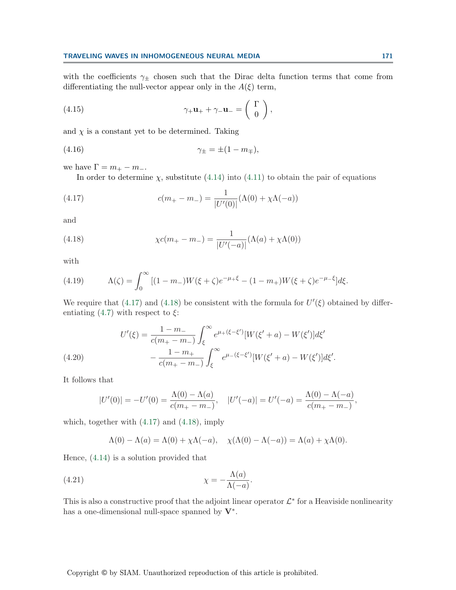with the coefficients  $\gamma_{\pm}$  chosen such that the Dirac delta function terms that come from differentiating the null-vector appear only in the  $A(\xi)$  term,

(4.15) 
$$
\gamma_+ \mathbf{u}_+ + \gamma_- \mathbf{u}_- = \begin{pmatrix} \Gamma \\ 0 \end{pmatrix},
$$

and  $\chi$  is a constant yet to be determined. Taking

(4.16) 
$$
\gamma_{\pm} = \pm (1 - m_{\mp}),
$$

we have  $\Gamma = m_+ - m_-$ .

In order to determine  $\chi$ , substitute [\(4.14\)](#page-9-0) into [\(4.11\)](#page-9-0) to obtain the pair of equations

(4.17) 
$$
c(m_{+}-m_{-}) = \frac{1}{|U'(0)|}(\Lambda(0) + \chi \Lambda(-a))
$$

and

(4.18) 
$$
\chi c(m_{+}-m_{-}) = \frac{1}{|U'(-a)|} (\Lambda(a) + \chi \Lambda(0))
$$

with

(4.19) 
$$
\Lambda(\zeta) = \int_0^\infty [(1-m_-)W(\xi+\zeta)e^{-\mu+\xi} - (1-m_+)W(\xi+\zeta)e^{-\mu-\xi}]d\xi.
$$

We require that (4.17) and (4.18) be consistent with the formula for  $U'(\xi)$  obtained by differ-entiating [\(4.7\)](#page-7-0) with respect to  $\xi$ :

(4.20) 
$$
U'(\xi) = \frac{1 - m_-}{c(m_+ - m_-)} \int_{\xi}^{\infty} e^{\mu_+(\xi - \xi')} [W(\xi' + a) - W(\xi')] d\xi'
$$

$$
- \frac{1 - m_+}{c(m_+ - m_-)} \int_{\xi}^{\infty} e^{\mu_-(\xi - \xi')} [W(\xi' + a) - W(\xi')] d\xi'.
$$

It follows that

$$
|U'(0)| = -U'(0) = \frac{\Lambda(0) - \Lambda(a)}{c(m_+ - m_-)}, \quad |U'(-a)| = U'(-a) = \frac{\Lambda(0) - \Lambda(-a)}{c(m_+ - m_-)},
$$

which, together with (4.17) and (4.18), imply

$$
\Lambda(0) - \Lambda(a) = \Lambda(0) + \chi \Lambda(-a), \quad \chi(\Lambda(0) - \Lambda(-a)) = \Lambda(a) + \chi \Lambda(0).
$$

Hence, [\(4.14\)](#page-9-0) is a solution provided that

(4.21) 
$$
\chi = -\frac{\Lambda(a)}{\Lambda(-a)}.
$$

This is also a constructive proof that the adjoint linear operator  $\mathcal{L}^*$  for a Heaviside nonlinearity has a one-dimensional null-space spanned by **V**∗.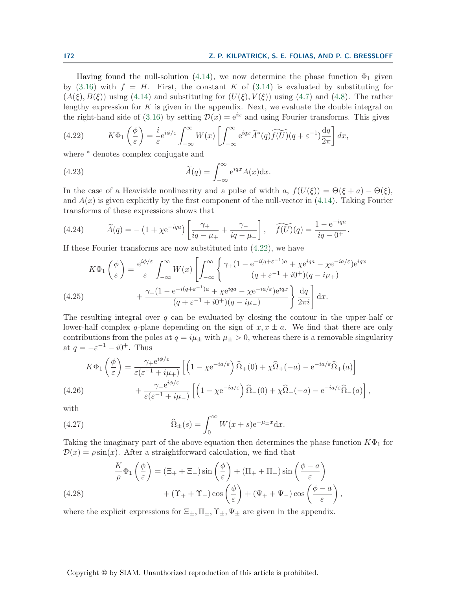<span id="page-11-0"></span>Having found the null-solution [\(4.14\)](#page-9-0), we now determine the phase function  $\Phi_1$  given by  $(3.16)$  with  $f = H$ . First, the constant K of  $(3.14)$  is evaluated by substituting for  $(A(\xi), B(\xi))$  using [\(4.14\)](#page-9-0) and substituting for  $(U(\xi), V(\xi))$  using [\(4.7\)](#page-7-0) and [\(4.8\)](#page-7-0). The rather lengthy expression for  $K$  is given in the appendix. Next, we evaluate the double integral on the right-hand side of [\(3.16\)](#page-5-0) by setting  $\mathcal{D}(x)=e^{ix}$  and using Fourier transforms. This gives

(4.22) 
$$
K\Phi_1\left(\frac{\phi}{\varepsilon}\right) = \frac{i}{\varepsilon}e^{i\phi/\varepsilon}\int_{-\infty}^{\infty}W(x)\left[\int_{-\infty}^{\infty}e^{iqx}\widetilde{A}^*(q)\widetilde{f(U)}(q+\varepsilon^{-1})\frac{dq}{2\pi}\right]dx,
$$

where  $*$  denotes complex conjugate and

(4.23) 
$$
\widetilde{A}(q) = \int_{-\infty}^{\infty} e^{iqx} A(x) dx.
$$

In the case of a Heaviside nonlinearity and a pulse of width a,  $f(U(\xi)) = \Theta(\xi + a) - \Theta(\xi)$ , and  $A(x)$  is given explicitly by the first component of the null-vector in [\(4.14\)](#page-9-0). Taking Fourier transforms of these expressions shows that

(4.24) 
$$
\widetilde{A}(q) = -\left(1 + \chi e^{-iqa}\right) \left[\frac{\gamma_+}{iq - \mu_+} + \frac{\gamma_-}{iq - \mu_-}\right], \quad \widetilde{f(U)}(q) = \frac{1 - e^{-iqa}}{iq - 0^+}.
$$

If these Fourier transforms are now substituted into (4.22), we have

$$
K\Phi_1\left(\frac{\phi}{\varepsilon}\right) = \frac{e^{i\phi/\varepsilon}}{\varepsilon} \int_{-\infty}^{\infty} W(x) \left[ \int_{-\infty}^{\infty} \left\{ \frac{\gamma_+(1 - e^{-i(q + \varepsilon^{-1})a} + \chi e^{iqa} - \chi e^{-ia/\varepsilon})e^{iqx}}{(q + \varepsilon^{-1} + i0^+)(q - i\mu_+)} + \frac{\gamma_-(1 - e^{-i(q + \varepsilon^{-1})a} + \chi e^{iqa} - \chi e^{-ia/\varepsilon})e^{iqx}}{(q + \varepsilon^{-1} + i0^+)(q - i\mu_-)} \right\} \frac{dq}{2\pi i} \right] dx.
$$

The resulting integral over  $q$  can be evaluated by closing the contour in the upper-half or lower-half complex q-plane depending on the sign of  $x, x \pm a$ . We find that there are only contributions from the poles at  $q = i\mu_{\pm}$  with  $\mu_{\pm} > 0$ , whereas there is a removable singularity at  $q = -\varepsilon^{-1} - i0^+$ . Thus

$$
K\Phi_1\left(\frac{\phi}{\varepsilon}\right) = \frac{\gamma_+ e^{i\phi/\varepsilon}}{\varepsilon(\varepsilon^{-1} + i\mu_+)} \left[ \left(1 - \chi e^{-ia/\varepsilon}\right) \widehat{\Omega}_+(0) + \chi \widehat{\Omega}_+(-a) - e^{-ia/\varepsilon} \widehat{\Omega}_+(a)\right] + \frac{\gamma_- e^{i\phi/\varepsilon}}{\varepsilon(\varepsilon^{-1} + i\mu_-)} \left[ \left(1 - \chi e^{-ia/\varepsilon}\right) \widehat{\Omega}_-(0) + \chi \widehat{\Omega}_-(-a) - e^{-ia/\varepsilon} \widehat{\Omega}_-(a)\right],
$$

with

(4.27) 
$$
\widehat{\Omega}_{\pm}(s) = \int_0^\infty W(x+s)e^{-\mu_{\pm}x} dx.
$$

Taking the imaginary part of the above equation then determines the phase function  $K\Phi_1$  for  $\mathcal{D}(x) = \rho \sin(x)$ . After a straightforward calculation, we find that

(4.28) 
$$
\frac{K}{\rho}\Phi_1\left(\frac{\phi}{\varepsilon}\right) = (\Xi_+ + \Xi_-)\sin\left(\frac{\phi}{\varepsilon}\right) + (\Pi_+ + \Pi_-)\sin\left(\frac{\phi - a}{\varepsilon}\right) + (\Upsilon_+ + \Upsilon_-)\cos\left(\frac{\phi}{\varepsilon}\right) + (\Psi_+ + \Psi_-)\cos\left(\frac{\phi - a}{\varepsilon}\right),
$$

where the explicit expressions for  $\Xi_{\pm}$ ,  $\Pi_{\pm}$ ,  $\Upsilon_{\pm}$ ,  $\Psi_{\pm}$  are given in the appendix.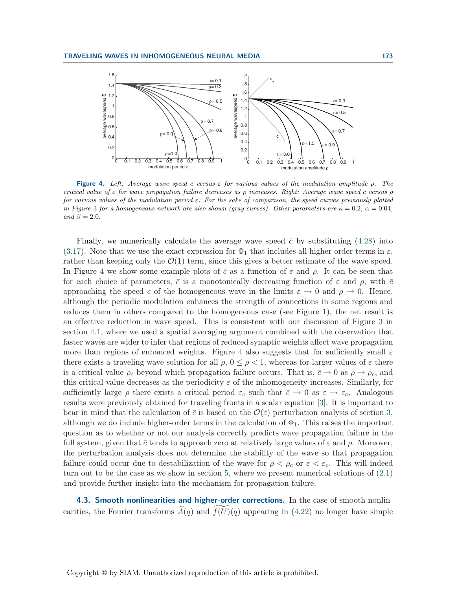<span id="page-12-0"></span>

**Figure 4.** Left: Average wave speed  $\bar{c}$  versus  $\epsilon$  for various values of the modulation amplitude  $\rho$ . The critical value of  $\varepsilon$  for wave propagation failure decreases as  $\rho$  increases. Right: Average wave speed  $\bar{c}$  versus  $\rho$ for various values of the modulation period  $\varepsilon$ . For the sake of comparison, the speed curves previously plotted in Figure [3](#page-8-0) for a homogeneous network are also shown (gray curves). Other parameters are  $\kappa = 0.2$ ,  $\alpha = 0.04$ , and  $\beta = 2.0$ .

Finally, we numerically calculate the average wave speed  $\bar{c}$  by substituting [\(4.28\)](#page-11-0) into [\(3.17\)](#page-5-0). Note that we use the exact expression for  $\Phi_1$  that includes all higher-order terms in  $\varepsilon$ , rather than keeping only the  $\mathcal{O}(1)$  term, since this gives a better estimate of the wave speed. In Figure 4 we show some example plots of  $\bar{c}$  as a function of  $\varepsilon$  and  $\rho$ . It can be seen that for each choice of parameters,  $\bar{c}$  is a monotonically decreasing function of  $\varepsilon$  and  $\rho$ , with  $\bar{c}$ approaching the speed c of the homogeneous wave in the limits  $\varepsilon \to 0$  and  $\rho \to 0$ . Hence, although the periodic modulation enhances the strength of connections in some regions and reduces them in others compared to the homogeneous case (see Figure [1\)](#page-3-0), the net result is an effective reduction in wave speed. This is consistent with our discussion of Figure [3](#page-8-0) in section [4.1,](#page-5-0) where we used a spatial averaging argument combined with the observation that faster waves are wider to infer that regions of reduced synaptic weights affect wave propagation more than regions of enhanced weights. Figure 4 also suggests that for sufficiently small  $\varepsilon$ there exists a traveling wave solution for all  $\rho$ ,  $0 \leq \rho < 1$ , whereas for larger values of  $\varepsilon$  there is a critical value  $\rho_c$  beyond which propagation failure occurs. That is,  $\bar{c} \to 0$  as  $\rho \to \rho_c$ , and this critical value decreases as the periodicity  $\varepsilon$  of the inhomogeneity increases. Similarly, for sufficiently large  $\rho$  there exists a critical period  $\varepsilon_c$  such that  $\bar{c} \to 0$  as  $\varepsilon \to \varepsilon_c$ . Analogous results were previously obtained for traveling fronts in a scalar equation [\[3\]](#page-22-0). It is important to bear in mind that the calculation of  $\bar{c}$  is based on the  $\mathcal{O}(\varepsilon)$  perturbation analysis of section [3,](#page-2-0) although we do include higher-order terms in the calculation of  $\Phi_1$ . This raises the important question as to whether or not our analysis correctly predicts wave propagation failure in the full system, given that  $\bar{c}$  tends to approach zero at relatively large values of  $\varepsilon$  and  $\rho$ . Moreover, the perturbation analysis does not determine the stability of the wave so that propagation failure could occur due to destabilization of the wave for  $\rho < \rho_c$  or  $\varepsilon < \varepsilon_c$ . This will indeed turn out to be the case as we show in section [5,](#page-14-0) where we present numerical solutions of [\(2.1\)](#page-1-0) and provide further insight into the mechanism for propagation failure.

**4.3. Smooth nonlinearities and higher-order corrections.** In the case of smooth nonlinearities, the Fourier transforms  $\widetilde{A}(q)$  and  $\widetilde{f(U)}(q)$  appearing in [\(4.22\)](#page-11-0) no longer have simple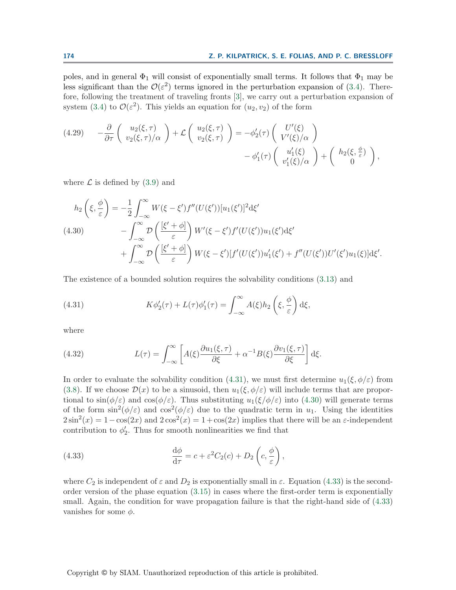poles, and in general  $\Phi_1$  will consist of exponentially small terms. It follows that  $\Phi_1$  may be less significant than the  $\mathcal{O}(\varepsilon^2)$  terms ignored in the perturbation expansion of [\(3.4\)](#page-4-0). Therefore, following the treatment of traveling fronts [\[3\]](#page-22-0), we carry out a perturbation expansion of system [\(3.4\)](#page-4-0) to  $\mathcal{O}(\varepsilon^2)$ . This yields an equation for  $(u_2, v_2)$  of the form

(4.29) 
$$
-\frac{\partial}{\partial \tau} \begin{pmatrix} u_2(\xi, \tau) \\ v_2(\xi, \tau)/\alpha \end{pmatrix} + \mathcal{L} \begin{pmatrix} u_2(\xi, \tau) \\ v_2(\xi, \tau) \end{pmatrix} = -\phi'_2(\tau) \begin{pmatrix} U'(\xi) \\ V'(\xi)/\alpha \end{pmatrix} - \phi'_1(\tau) \begin{pmatrix} u'_1(\xi) \\ v'_1(\xi)/\alpha \end{pmatrix} + \begin{pmatrix} h_2(\xi, \frac{\phi}{\varepsilon}) \\ 0 \end{pmatrix},
$$

where  $\mathcal L$  is defined by [\(3.9\)](#page-4-0) and

$$
h_2\left(\xi, \frac{\phi}{\varepsilon}\right) = -\frac{1}{2} \int_{-\infty}^{\infty} W(\xi - \xi') f''(U(\xi')) [u_1(\xi')]^2 d\xi'
$$
  
(4.30)
$$
- \int_{-\infty}^{\infty} \mathcal{D}\left(\frac{[\xi' + \phi]}{\varepsilon}\right) W'(\xi - \xi') f'(U(\xi')) u_1(\xi') d\xi'
$$

$$
+ \int_{-\infty}^{\infty} \mathcal{D}\left(\frac{[\xi' + \phi]}{\varepsilon}\right) W(\xi - \xi') [f'(U(\xi')) u'_1(\xi') + f''(U(\xi')) U'(\xi') u_1(\xi)] d\xi'.
$$

The existence of a bounded solution requires the solvability conditions [\(3.13\)](#page-5-0) and

(4.31) 
$$
K\phi_2'(\tau) + L(\tau)\phi_1'(\tau) = \int_{-\infty}^{\infty} A(\xi)h_2\left(\xi, \frac{\phi}{\varepsilon}\right) d\xi,
$$

where

(4.32) 
$$
L(\tau) = \int_{-\infty}^{\infty} \left[ A(\xi) \frac{\partial u_1(\xi, \tau)}{\partial \xi} + \alpha^{-1} B(\xi) \frac{\partial v_1(\xi, \tau)}{\partial \xi} \right] d\xi.
$$

In order to evaluate the solvability condition (4.31), we must first determine  $u_1(\xi, \phi/\varepsilon)$  from [\(3.8\)](#page-4-0). If we choose  $\mathcal{D}(x)$  to be a sinusoid, then  $u_1(\xi, \phi/\varepsilon)$  will include terms that are proportional to  $\sin(\phi/\varepsilon)$  and  $\cos(\phi/\varepsilon)$ . Thus substituting  $u_1(\xi/\phi/\varepsilon)$  into (4.30) will generate terms of the form  $\sin^2(\phi/\varepsilon)$  and  $\cos^2(\phi/\varepsilon)$  due to the quadratic term in  $u_1$ . Using the identities  $2\sin^2(x)=1-\cos(2x)$  and  $2\cos^2(x)=1+\cos(2x)$  implies that there will be an  $\varepsilon$ -independent contribution to  $\phi'_2$ . Thus for smooth nonlinearities we find that

(4.33) 
$$
\frac{\mathrm{d}\phi}{\mathrm{d}\tau} = c + \varepsilon^2 C_2(c) + D_2\left(c, \frac{\phi}{\varepsilon}\right),
$$

where  $C_2$  is independent of  $\varepsilon$  and  $D_2$  is exponentially small in  $\varepsilon$ . Equation (4.33) is the secondorder version of the phase equation [\(3.15\)](#page-5-0) in cases where the first-order term is exponentially small. Again, the condition for wave propagation failure is that the right-hand side of (4.33) vanishes for some  $\phi$ .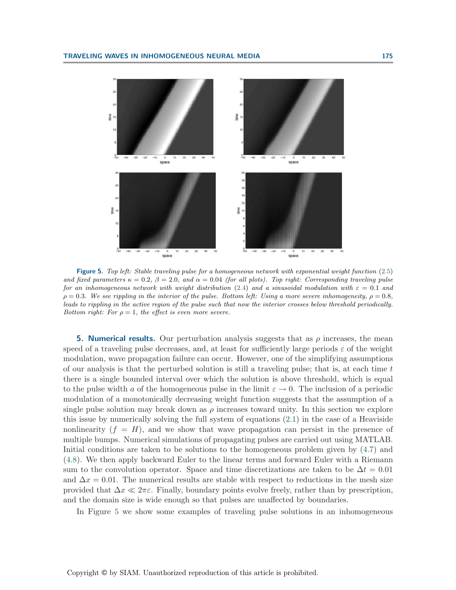<span id="page-14-0"></span>

**Figure 5.** Top left: Stable traveling pulse for a homogeneous network with exponential weight function [\(2.5\)](#page-2-0) and fixed parameters  $\kappa = 0.2$ ,  $\beta = 2.0$ , and  $\alpha = 0.04$  (for all plots). Top right: Corresponding traveling pulse for an inhomogeneous network with weight distribution [\(2.4\)](#page-2-0) and a sinusoidal modulation with  $\varepsilon = 0.1$  and  $\rho = 0.3$ . We see rippling in the interior of the pulse. Bottom left: Using a more severe inhomogeneity,  $\rho = 0.8$ , leads to rippling in the active region of the pulse such that now the interior crosses below threshold periodically. Bottom right: For  $\rho = 1$ , the effect is even more severe.

**5. Numerical results.** Our perturbation analysis suggests that as  $\rho$  increases, the mean speed of a traveling pulse decreases, and, at least for sufficiently large periods  $\varepsilon$  of the weight modulation, wave propagation failure can occur. However, one of the simplifying assumptions of our analysis is that the perturbed solution is still a traveling pulse; that is, at each time  $t$ there is a single bounded interval over which the solution is above threshold, which is equal to the pulse width a of the homogeneous pulse in the limit  $\varepsilon \to 0$ . The inclusion of a periodic modulation of a monotonically decreasing weight function suggests that the assumption of a single pulse solution may break down as  $\rho$  increases toward unity. In this section we explore this issue by numerically solving the full system of equations [\(2.1\)](#page-1-0) in the case of a Heaviside nonlinearity  $(f = H)$ , and we show that wave propagation can persist in the presence of multiple bumps. Numerical simulations of propagating pulses are carried out using MATLAB. Initial conditions are taken to be solutions to the homogeneous problem given by [\(4.7\)](#page-7-0) and [\(4.8\)](#page-7-0). We then apply backward Euler to the linear terms and forward Euler with a Riemann sum to the convolution operator. Space and time discretizations are taken to be  $\Delta t = 0.01$ and  $\Delta x = 0.01$ . The numerical results are stable with respect to reductions in the mesh size provided that  $\Delta x \ll 2\pi\varepsilon$ . Finally, boundary points evolve freely, rather than by prescription, and the domain size is wide enough so that pulses are unaffected by boundaries.

In Figure 5 we show some examples of traveling pulse solutions in an inhomogeneous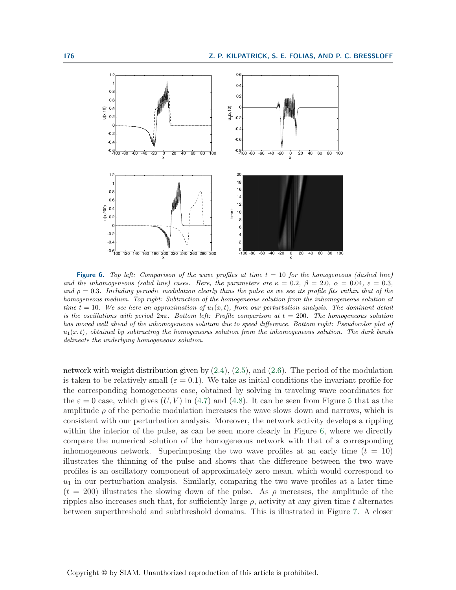

**Figure 6.** Top left: Comparison of the wave profiles at time  $t = 10$  for the homogeneous (dashed line) and the inhomogeneous (solid line) cases. Here, the parameters are  $\kappa = 0.2, \beta = 2.0, \alpha = 0.04, \varepsilon = 0.3$ , and  $\rho = 0.3$ . Including periodic modulation clearly thins the pulse as we see its profile fits within that of the homogeneous medium. Top right: Subtraction of the homogeneous solution from the inhomogeneous solution at time  $t = 10$ . We see here an approximation of  $u_1(x, t)$ , from our perturbation analysis. The dominant detail is the oscillations with period  $2\pi\varepsilon$ . Bottom left: Profile comparison at  $t = 200$ . The homogeneous solution has moved well ahead of the inhomogeneous solution due to speed difference. Bottom right: Pseudocolor plot of  $u_1(x, t)$ , obtained by subtracting the homogeneous solution from the inhomogeneous solution. The dark bands delineate the underlying homogeneous solution.

network with weight distribution given by [\(2.4\)](#page-2-0), [\(2.5\)](#page-2-0), and [\(2.6\)](#page-2-0). The period of the modulation is taken to be relatively small ( $\varepsilon = 0.1$ ). We take as initial conditions the invariant profile for the corresponding homogeneous case, obtained by solving in traveling wave coordinates for the  $\varepsilon = 0$  case, which gives  $(U, V)$  in [\(4.7\)](#page-7-0) and [\(4.8\)](#page-7-0). It can be seen from Figure [5](#page-14-0) that as the amplitude  $\rho$  of the periodic modulation increases the wave slows down and narrows, which is consistent with our perturbation analysis. Moreover, the network activity develops a rippling within the interior of the pulse, as can be seen more clearly in Figure 6, where we directly compare the numerical solution of the homogeneous network with that of a corresponding inhomogeneous network. Superimposing the two wave profiles at an early time  $(t = 10)$ illustrates the thinning of the pulse and shows that the difference between the two wave profiles is an oscillatory component of approximately zero mean, which would correspond to  $u_1$  in our perturbation analysis. Similarly, comparing the two wave profiles at a later time  $(t = 200)$  illustrates the slowing down of the pulse. As  $\rho$  increases, the amplitude of the ripples also increases such that, for sufficiently large  $\rho$ , activity at any given time t alternates between superthreshold and subthreshold domains. This is illustrated in Figure [7.](#page-16-0) A closer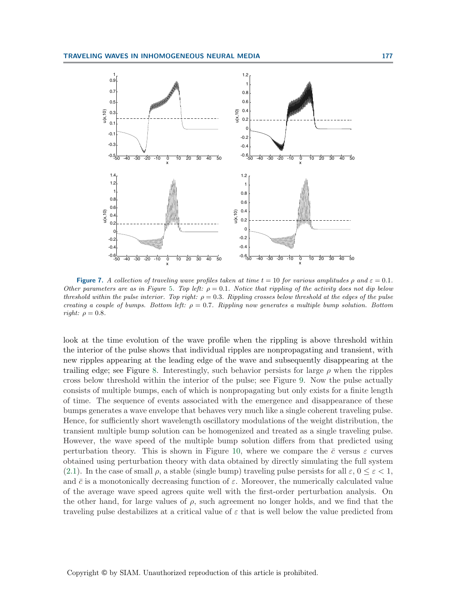<span id="page-16-0"></span>

**Figure 7.** A collection of traveling wave profiles taken at time  $t = 10$  for various amplitudes  $\rho$  and  $\varepsilon = 0.1$ . Other parameters are as in Figure [5](#page-14-0). Top left:  $\rho = 0.1$ . Notice that rippling of the activity does not dip below threshold within the pulse interior. Top right:  $\rho = 0.3$ . Rippling crosses below threshold at the edges of the pulse creating a couple of bumps. Bottom left:  $\rho = 0.7$ . Rippling now generates a multiple bump solution. Bottom right:  $\rho = 0.8$ .

look at the time evolution of the wave profile when the rippling is above threshold within the interior of the pulse shows that individual ripples are nonpropagating and transient, with new ripples appearing at the leading edge of the wave and subsequently disappearing at the trailing edge; see Figure [8.](#page-17-0) Interestingly, such behavior persists for large  $\rho$  when the ripples cross below threshold within the interior of the pulse; see Figure [9.](#page-18-0) Now the pulse actually consists of multiple bumps, each of which is nonpropagating but only exists for a finite length of time. The sequence of events associated with the emergence and disappearance of these bumps generates a wave envelope that behaves very much like a single coherent traveling pulse. Hence, for sufficiently short wavelength oscillatory modulations of the weight distribution, the transient multiple bump solution can be homogenized and treated as a single traveling pulse. However, the wave speed of the multiple bump solution differs from that predicted using perturbation theory. This is shown in Figure [10,](#page-19-0) where we compare the  $\bar{c}$  versus  $\varepsilon$  curves obtained using perturbation theory with data obtained by directly simulating the full system [\(2.1\)](#page-1-0). In the case of small  $\rho$ , a stable (single bump) traveling pulse persists for all  $\varepsilon$ ,  $0 \leq \varepsilon < 1$ , and  $\bar{c}$  is a monotonically decreasing function of  $\varepsilon$ . Moreover, the numerically calculated value of the average wave speed agrees quite well with the first-order perturbation analysis. On the other hand, for large values of  $\rho$ , such agreement no longer holds, and we find that the traveling pulse destabilizes at a critical value of  $\varepsilon$  that is well below the value predicted from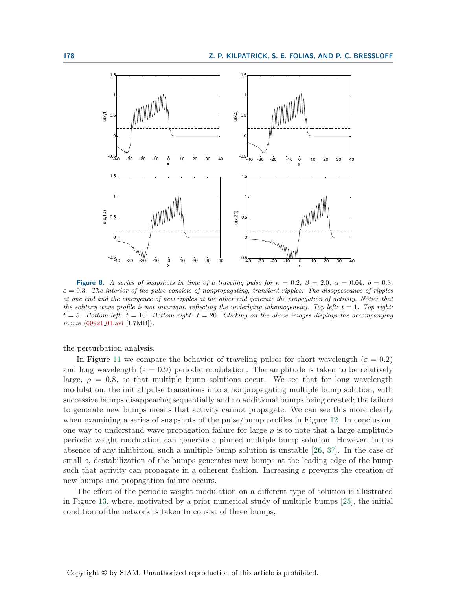<span id="page-17-0"></span>

**Figure 8.** A series of snapshots in time of a traveling pulse for  $\kappa = 0.2$ ,  $\beta = 2.0$ ,  $\alpha = 0.04$ ,  $\rho = 0.3$ ,  $\varepsilon = 0.3$ . The interior of the pulse consists of nonpropagating, transient ripples. The disappearance of ripples at one end and the emergence of new ripples at the other end generate the propagation of activity. Notice that the solitary wave profile is not invariant, reflecting the underlying inhomogeneity. Top left:  $t = 1$ . Top right:  $t = 5$ . Bottom left:  $t = 10$ . Bottom right:  $t = 20$ . Clicking on the above images displays the accompanying movie [\(69921](http://epubs.siam.org/sam-bin/getfile/SIADS/articles/69921_01.avi)<sub>-01</sub>.avi [1.7MB]).

the perturbation analysis.

In Figure [11](#page-19-0) we compare the behavior of traveling pulses for short wavelength ( $\varepsilon = 0.2$ ) and long wavelength ( $\varepsilon = 0.9$ ) periodic modulation. The amplitude is taken to be relatively large,  $\rho = 0.8$ , so that multiple bump solutions occur. We see that for long wavelength modulation, the initial pulse transitions into a nonpropagating multiple bump solution, with successive bumps disappearing sequentially and no additional bumps being created; the failure to generate new bumps means that activity cannot propagate. We can see this more clearly when examining a series of snapshots of the pulse/bump profiles in Figure [12.](#page-20-0) In conclusion, one way to understand wave propagation failure for large  $\rho$  is to note that a large amplitude periodic weight modulation can generate a pinned multiple bump solution. However, in the absence of any inhibition, such a multiple bump solution is unstable [\[26,](#page-23-0) [37\]](#page-24-0). In the case of small  $\varepsilon$ , destabilization of the bumps generates new bumps at the leading edge of the bump such that activity can propagate in a coherent fashion. Increasing  $\varepsilon$  prevents the creation of new bumps and propagation failure occurs.

The effect of the periodic weight modulation on a different type of solution is illustrated in Figure [13,](#page-20-0) where, motivated by a prior numerical study of multiple bumps [\[25\]](#page-23-0), the initial condition of the network is taken to consist of three bumps,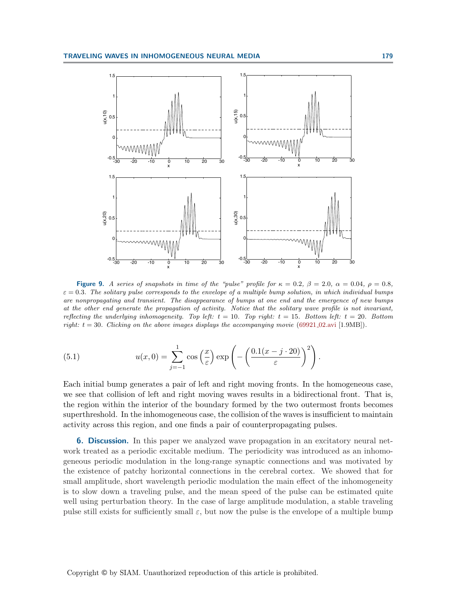<span id="page-18-0"></span>

**Figure 9.** A series of snapshots in time of the "pulse" profile for  $\kappa = 0.2$ ,  $\beta = 2.0$ ,  $\alpha = 0.04$ ,  $\rho = 0.8$ ,  $\varepsilon = 0.3$ . The solitary pulse corresponds to the envelope of a multiple bump solution, in which individual bumps are nonpropagating and transient. The disappearance of bumps at one end and the emergence of new bumps at the other end generate the propagation of activity. Notice that the solitary wave profile is not invariant, reflecting the underlying inhomogeneity. Top left:  $t = 10$ . Top right:  $t = 15$ . Bottom left:  $t = 20$ . Bottom right:  $t = 30$ . Clicking on the above images displays the accompanying movie [\(69921](http://epubs.siam.org/sam-bin/getfile/SIADS/articles/69921_02.avi).02.avi [1.9MB]).

(5.1) 
$$
u(x,0) = \sum_{j=-1}^{1} \cos\left(\frac{x}{\varepsilon}\right) \exp\left(-\left(\frac{0.1(x-j\cdot 20)}{\varepsilon}\right)^2\right).
$$

Each initial bump generates a pair of left and right moving fronts. In the homogeneous case, we see that collision of left and right moving waves results in a bidirectional front. That is, the region within the interior of the boundary formed by the two outermost fronts becomes superthreshold. In the inhomogeneous case, the collision of the waves is insufficient to maintain activity across this region, and one finds a pair of counterpropagating pulses.

**6. Discussion.** In this paper we analyzed wave propagation in an excitatory neural network treated as a periodic excitable medium. The periodicity was introduced as an inhomogeneous periodic modulation in the long-range synaptic connections and was motivated by the existence of patchy horizontal connections in the cerebral cortex. We showed that for small amplitude, short wavelength periodic modulation the main effect of the inhomogeneity is to slow down a traveling pulse, and the mean speed of the pulse can be estimated quite well using perturbation theory. In the case of large amplitude modulation, a stable traveling pulse still exists for sufficiently small  $\varepsilon$ , but now the pulse is the envelope of a multiple bump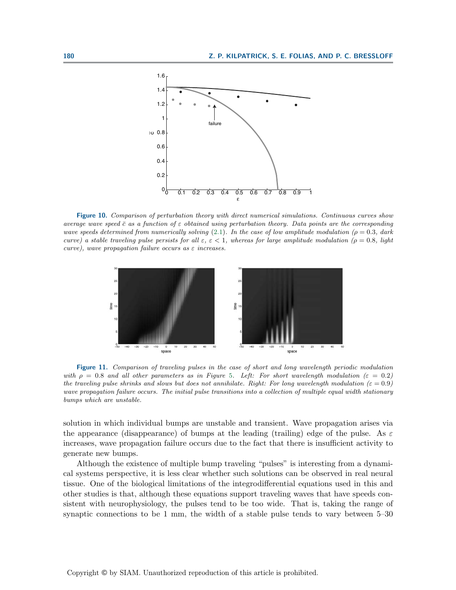<span id="page-19-0"></span>

**Figure 10.** Comparison of perturbation theory with direct numerical simulations. Continuous curves show average wave speed  $\bar{c}$  as a function of  $\varepsilon$  obtained using perturbation theory. Data points are the corresponding wave speeds determined from numerically solving [\(2.1\)](#page-1-0). In the case of low amplitude modulation ( $\rho = 0.3$ , dark curve) a stable traveling pulse persists for all  $\varepsilon, \varepsilon < 1$ , whereas for large amplitude modulation ( $\rho = 0.8$ , light curve), wave propagation failure occurs as  $\varepsilon$  increases.



**Figure 11.** Comparison of traveling pulses in the case of short and long wavelength periodic modulation with  $\rho = 0.8$  and all other parameters as in Figure [5](#page-14-0). Left: For short wavelength modulation ( $\varepsilon = 0.2$ ) the traveling pulse shrinks and slows but does not annihilate. Right: For long wavelength modulation ( $\varepsilon = 0.9$ ) wave propagation failure occurs. The initial pulse transitions into a collection of multiple equal width stationary bumps which are unstable.

solution in which individual bumps are unstable and transient. Wave propagation arises via the appearance (disappearance) of bumps at the leading (trailing) edge of the pulse. As  $\varepsilon$ increases, wave propagation failure occurs due to the fact that there is insufficient activity to generate new bumps.

Although the existence of multiple bump traveling "pulses" is interesting from a dynamical systems perspective, it is less clear whether such solutions can be observed in real neural tissue. One of the biological limitations of the integrodifferential equations used in this and other studies is that, although these equations support traveling waves that have speeds consistent with neurophysiology, the pulses tend to be too wide. That is, taking the range of synaptic connections to be 1 mm, the width of a stable pulse tends to vary between 5–30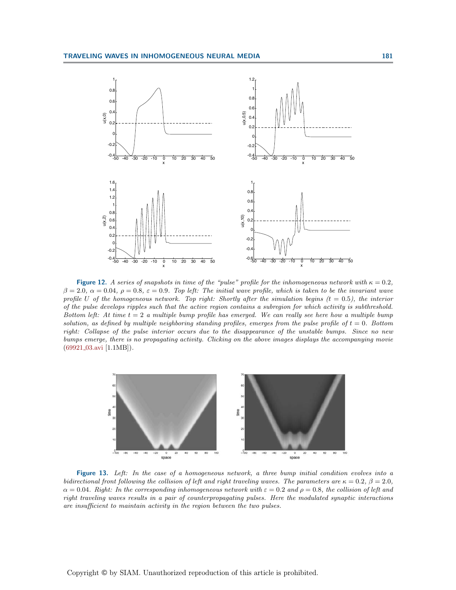<span id="page-20-0"></span>

**Figure 12.** A series of snapshots in time of the "pulse" profile for the inhomogeneous network with  $\kappa = 0.2$ ,  $\beta = 2.0, \ \alpha = 0.04, \ \rho = 0.8, \ \varepsilon = 0.9.$  Top left: The initial wave profile, which is taken to be the invariant wave profile U of the homogeneous network. Top right: Shortly after the simulation begins  $(t = 0.5)$ , the interior of the pulse develops ripples such that the active region contains a subregion for which activity is subthreshold. Bottom left: At time  $t = 2$  a multiple bump profile has emerged. We can really see here how a multiple bump solution, as defined by multiple neighboring standing profiles, emerges from the pulse profile of  $t = 0$ . Bottom right: Collapse of the pulse interior occurs due to the disappearance of the unstable bumps. Since no new bumps emerge, there is no propagating activity. Clicking on the above images displays the accompanying movie [\(69921](http://epubs.siam.org/sam-bin/getfile/SIADS/articles/69921_03.avi) 03.avi [1.1MB]).



**Figure 13.** Left: In the case of a homogeneous network, a three bump initial condition evolves into a bidirectional front following the collision of left and right traveling waves. The parameters are  $\kappa = 0.2$ ,  $\beta = 2.0$ ,  $\alpha = 0.04$ . Right: In the corresponding inhomogeneous network with  $\varepsilon = 0.2$  and  $\rho = 0.8$ , the collision of left and right traveling waves results in a pair of counterpropagating pulses. Here the modulated synaptic interactions are insufficient to maintain activity in the region between the two pulses.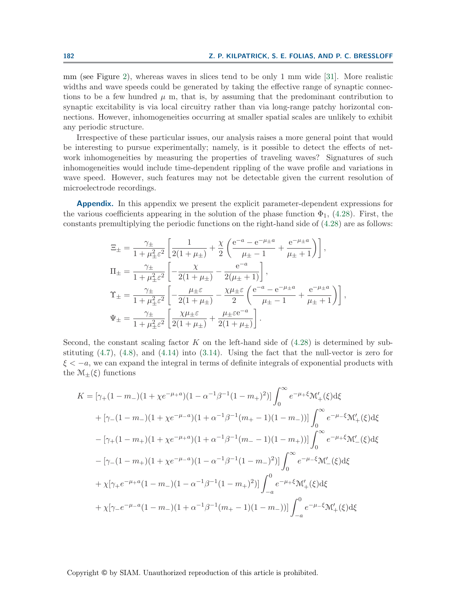mm (see Figure [2\)](#page-8-0), whereas waves in slices tend to be only 1 mm wide [\[31\]](#page-24-0). More realistic widths and wave speeds could be generated by taking the effective range of synaptic connections to be a few hundred  $\mu$  m, that is, by assuming that the predominant contribution to synaptic excitability is via local circuitry rather than via long-range patchy horizontal connections. However, inhomogeneities occurring at smaller spatial scales are unlikely to exhibit any periodic structure.

Irrespective of these particular issues, our analysis raises a more general point that would be interesting to pursue experimentally; namely, is it possible to detect the effects of network inhomogeneities by measuring the properties of traveling waves? Signatures of such inhomogeneities would include time-dependent rippling of the wave profile and variations in wave speed. However, such features may not be detectable given the current resolution of microelectrode recordings.

**Appendix.** In this appendix we present the explicit parameter-dependent expressions for the various coefficients appearing in the solution of the phase function  $\Phi_1$ , [\(4.28\)](#page-11-0). First, the constants premultiplying the periodic functions on the right-hand side of [\(4.28\)](#page-11-0) are as follows:

$$
\begin{split} &\Xi_{\pm} = \frac{\gamma_{\pm}}{1+\mu_{\pm}^2\varepsilon^2}\left[\frac{1}{2(1+\mu_{\pm})}+\frac{\chi}{2}\left(\frac{\mathrm{e}^{-a}-\mathrm{e}^{-\mu_{\pm}a}}{\mu_{\pm}-1}+\frac{\mathrm{e}^{-\mu_{\pm}a}}{\mu_{\pm}+1}\right)\right],\\ &\Pi_{\pm} = \frac{\gamma_{\pm}}{1+\mu_{\pm}^2\varepsilon^2}\left[-\frac{\chi}{2(1+\mu_{\pm})}-\frac{\mathrm{e}^{-a}}{2(\mu_{\pm}+1)}\right],\\ &\Upsilon_{\pm} = \frac{\gamma_{\pm}}{1+\mu_{\pm}^2\varepsilon^2}\left[-\frac{\mu_{\pm}\varepsilon}{2(1+\mu_{\pm})}-\frac{\chi\mu_{\pm}\varepsilon}{2}\left(\frac{\mathrm{e}^{-a}-\mathrm{e}^{-\mu_{\pm}a}}{\mu_{\pm}-1}+\frac{\mathrm{e}^{-\mu_{\pm}a}}{\mu_{\pm}+1}\right)\right],\\ &\Psi_{\pm} = \frac{\gamma_{\pm}}{1+\mu_{\pm}^2\varepsilon^2}\left[\frac{\chi\mu_{\pm}\varepsilon}{2(1+\mu_{\pm})}+\frac{\mu_{\pm}\varepsilon\mathrm{e}^{-a}}{2(1+\mu_{\pm})}\right]. \end{split}
$$

Second, the constant scaling factor K on the left-hand side of  $(4.28)$  is determined by substituting  $(4.7)$ ,  $(4.8)$ , and  $(4.14)$  into  $(3.14)$ . Using the fact that the null-vector is zero for  $\xi < -a$ , we can expand the integral in terms of definite integrals of exponential products with the  $\mathcal{M}_{+}(\xi)$  functions

$$
K = \left[\gamma_{+}(1-m_{-})(1+\chi e^{-\mu_{+}a})(1-\alpha^{-1}\beta^{-1}(1-m_{+})^{2})\right] \int_{0}^{\infty} e^{-\mu_{+}\xi} \mathcal{M}'_{+}(\xi) d\xi
$$
  
+  $\left[\gamma_{-}(1-m_{-})(1+\chi e^{-\mu_{-}a})(1+\alpha^{-1}\beta^{-1}(m_{+}-1)(1-m_{-}))\right] \int_{0}^{\infty} e^{-\mu_{-}\xi} \mathcal{M}'_{+}(\xi) d\xi$   
-  $\left[\gamma_{+}(1-m_{+})(1+\chi e^{-\mu_{+}a})(1+\alpha^{-1}\beta^{-1}(m_{-}-1)(1-m_{+}))\right] \int_{0}^{\infty} e^{-\mu_{+}\xi} \mathcal{M}'_{-}(\xi) d\xi$   
-  $\left[\gamma_{-}(1-m_{+})(1+\chi e^{-\mu_{-}a})(1-\alpha^{-1}\beta^{-1}(1-m_{-})^{2})\right] \int_{0}^{\infty} e^{-\mu_{-}\xi} \mathcal{M}'_{-}(\xi) d\xi$   
+  $\chi[\gamma_{+}e^{-\mu_{+}a}(1-m_{-})(1-\alpha^{-1}\beta^{-1}(1-m_{+})^{2})] \int_{-a}^{0} e^{-\mu_{+}\xi} \mathcal{M}'_{+}(\xi) d\xi$   
+  $\chi[\gamma_{-}e^{-\mu_{-}a}(1-m_{-})(1+\alpha^{-1}\beta^{-1}(m_{+}-1)(1-m_{-}))] \int_{-a}^{0} e^{-\mu_{-}\xi} \mathcal{M}'_{+}(\xi) d\xi$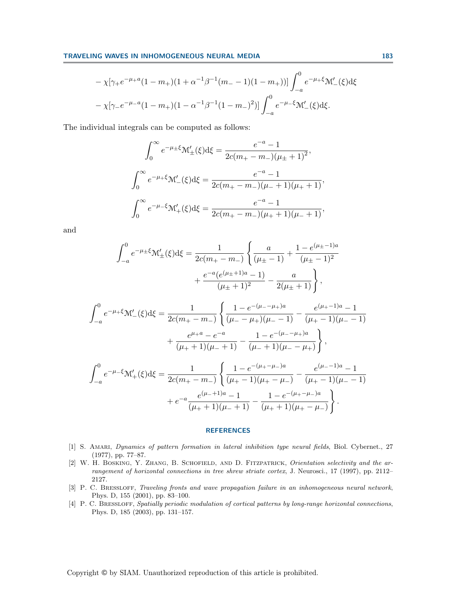<span id="page-22-0"></span>
$$
-\chi[\gamma_+e^{-\mu_+a}(1-m_+)(1+\alpha^{-1}\beta^{-1}(m_--1)(1-m_+))] \int_{-a}^0 e^{-\mu_+ \xi} \mathcal{M}'_-(\xi) d\xi
$$
  

$$
-\chi[\gamma_-e^{-\mu_-a}(1-m_+)(1-\alpha^{-1}\beta^{-1}(1-m_-)^2)] \int_{-a}^0 e^{-\mu_- \xi} \mathcal{M}'_-(\xi) d\xi.
$$

The individual integrals can be computed as follows:

$$
\int_0^\infty e^{-\mu \pm \xi} \mathcal{M}'_{\pm}(\xi) d\xi = \frac{e^{-a} - 1}{2c(m_+ - m_-)(\mu_{\pm} + 1)^2},
$$

$$
\int_0^\infty e^{-\mu + \xi} \mathcal{M}'_{-}(\xi) d\xi = \frac{e^{-a} - 1}{2c(m_+ - m_-)(\mu_- + 1)(\mu_+ + 1)},
$$

$$
\int_0^\infty e^{-\mu - \xi} \mathcal{M}'_{+}(\xi) d\xi = \frac{e^{-a} - 1}{2c(m_+ - m_-)(\mu_+ + 1)(\mu_- + 1)},
$$

and

$$
\int_{-a}^{0} e^{-\mu \pm \xi} \mathcal{M}'_{\pm}(\xi) d\xi = \frac{1}{2c(m_{+} - m_{-})} \left\{ \frac{a}{(\mu_{\pm} - 1)} + \frac{1 - e^{(\mu_{\pm} - 1)a}}{(\mu_{\pm} - 1)^{2}} + \frac{e^{-a} (e^{(\mu_{\pm} + 1)a} - 1)}{(\mu_{\pm} + 1)^{2}} - \frac{a}{2(\mu_{\pm} + 1)} \right\},
$$

$$
\int_{-a}^{0} e^{-\mu_{+}\xi} \mathcal{M}'_{-}(\xi) d\xi = \frac{1}{2c(m_{+}-m_{-})} \left\{ \frac{1 - e^{-(\mu_{-}-\mu_{+})a}}{(\mu_{-}-\mu_{+})(\mu_{-}-1)} - \frac{e^{(\mu_{+}-1)a}-1}{(\mu_{+}-1)(\mu_{-}-1)} \right\} \n+ \frac{e^{\mu_{+}a} - e^{-a}}{(\mu_{+}+1)(\mu_{-}+1)} - \frac{1 - e^{-(\mu_{-}-\mu_{+})a}}{(\mu_{-}+1)(\mu_{-}-\mu_{+})} \right\},
$$
\n
$$
\int_{-a}^{0} e^{-\mu_{-}\xi} \mathcal{M}'_{+}(\xi) d\xi = \frac{1}{2c(m_{+}-m_{-})} \left\{ \frac{1 - e^{-(\mu_{+}-\mu_{-})a}}{(\mu_{+}-1)(\mu_{+}-\mu_{-})} - \frac{e^{(\mu_{-}-1)a}-1}{(\mu_{+}-1)(\mu_{-}-1)} \right\}.
$$

$$
-a \t 2c(m_{+}-m_{-}) \left( (\mu_{+}-1)(\mu_{+}-\mu_{-}) - (\mu_{+}-1)(\mu_{-}-1) \right) + e^{-a} \frac{e^{(\mu_{-}+1)a}-1}{(\mu_{+}+1)(\mu_{-}+1)} - \frac{1-e^{-(\mu_{+}-\mu_{-})a}}{(\mu_{+}+1)(\mu_{+}-\mu_{-})} \right\}.
$$

## **REFERENCES**

- [1] S. Amari, Dynamics of pattern formation in lateral inhibition type neural fields, Biol. Cybernet., 27 (1977), pp. 77–87.
- [2] W. H. BOSKING, Y. ZHANG, B. SCHOFIELD, AND D. FITZPATRICK, Orientation selectivity and the arrangement of horizontal connections in tree shrew striate cortex, J. Neurosci., 17 (1997), pp. 2112– 2127.
- [3] P. C. Bressloff, Traveling fronts and wave propagation failure in an inhomogeneous neural network, Phys. D, 155 (2001), pp. 83–100.
- [4] P. C. BRESSLOFF, Spatially periodic modulation of cortical patterns by long-range horizontal connections, Phys. D, 185 (2003), pp. 131–157.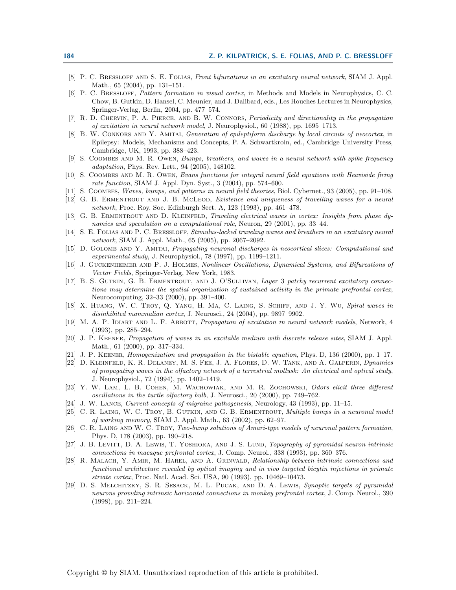- <span id="page-23-0"></span>[5] P. C. Bressloff and S. E. Folias, Front bifurcations in an excitatory neural network, SIAM J. Appl. Math., 65 (2004), pp. 131–151.
- [6] P. C. Bressloff, Pattern formation in visual cortex, in Methods and Models in Neurophysics, C. C. Chow, B. Gutkin, D. Hansel, C. Meunier, and J. Dalibard, eds., Les Houches Lectures in Neurophysics, Springer-Verlag, Berlin, 2004, pp. 477–574.
- [7] R. D. Chervin, P. A. Pierce, and B. W. Connors, Periodicity and directionality in the propagation of excitation in neural network model, J. Neurophysiol., 60 (1988), pp. 1695–1713.
- [8] B. W. CONNORS AND Y. AMITAI, Generation of epileptiform discharge by local circuits of neocortex, in Epilepsy: Models, Mechanisms and Concepts, P. A. Schwartkroin, ed., Cambridge University Press, Cambridge, UK, 1993, pp. 388–423.
- [9] S. Coombes and M. R. Owen, Bumps, breathers, and waves in a neural network with spike frequency adaptation, Phys. Rev. Lett., 94 (2005), 148102.
- [10] S. Coombes and M. R. Owen, Evans functions for integral neural field equations with Heaviside firing rate function, SIAM J. Appl. Dyn. Syst., 3 (2004), pp. 574–600.
- [11] S. COOMBES, Waves, bumps, and patterns in neural field theories, Biol. Cybernet., 93 (2005), pp. 91–108.
- [12] G. B. ERMENTROUT AND J. B. MCLEOD, Existence and uniqueness of travelling waves for a neural network, Proc. Roy. Soc. Edinburgh Sect. A, 123 (1993), pp. 461–478.
- [13] G. B. ERMENTROUT AND D. KLEINFELD, Traveling electrical waves in cortex: Insights from phase dynamics and speculation on a computational role, Neuron, 29 (2001), pp. 33–44.
- [14] S. E. Folias and P. C. Bressloff, Stimulus-locked traveling waves and breathers in an excitatory neural network, SIAM J. Appl. Math., 65 (2005), pp. 2067–2092.
- [15] D. GOLOMB AND Y. AMITAI, Propagating neuronal discharges in neocortical slices: Computational and experimental study, J. Neurophysiol., 78 (1997), pp. 1199–1211.
- [16] J. GUCKENHEIMER AND P. J. HOLMES, Nonlinear Oscillations, Dynamical Systems, and Bifurcations of Vector Fields, Springer-Verlag, New York, 1983.
- [17] B. S. GUTKIN, G. B. ERMENTROUT, AND J. O'SULLIVAN, *Layer* 3 patchy recurrent excitatory connections may determine the spatial organization of sustained activity in the primate prefrontal cortex, Neurocomputing, 32–33 (2000), pp. 391–400.
- [18] X. HUANG, W. C. TROY, Q. YANG, H. MA, C. LAING, S. SCHIFF, AND J. Y. WU, Spiral waves in disinhibited mammalian cortex, J. Neurosci., 24 (2004), pp. 9897–9902.
- [19] M. A. P. IDIART AND L. F. ABBOTT, *Propagation of excitation in neural network models*, Network, 4 (1993), pp. 285–294.
- [20] J. P. Keener, Propagation of waves in an excitable medium with discrete release sites, SIAM J. Appl. Math., 61 (2000), pp. 317–334.
- [21] J. P. KEENER, Homogenization and propagation in the bistable equation, Phys. D, 136 (2000), pp. 1–17.
- [22] D. KLEINFELD, K. R. DELANEY, M. S. FEE, J. A. FLORES, D. W. TANK, AND A. GALPERIN, *Dynamics* of propagating waves in the olfactory network of a terrestrial mollusk: An electrical and optical study, J. Neurophysiol., 72 (1994), pp. 1402–1419.
- [23] Y. W. LAM, L. B. COHEN, M. WACHOWIAK, AND M. R. ZOCHOWSKI, Odors elicit three different oscillations in the turtle olfactory bulb, J. Neurosci., 20 (2000), pp. 749–762.
- [24] J. W. LANCE, Current concepts of migraine pathogenesis, Neurology, 43 (1993), pp. 11–15.
- [25] C. R. LAING, W. C. TROY, B. GUTKIN, AND G. B. ERMENTROUT, *Multiple bumps in a neuronal model* of working memory, SIAM J. Appl. Math., 63 (2002), pp. 62–97.
- [26] C. R. LAING AND W. C. TROY, Two-bump solutions of Amari-type models of neuronal pattern formation, Phys. D, 178 (2003), pp. 190–218.
- [27] J. B. LEVITT, D. A. LEWIS, T. YOSHIOKA, AND J. S. LUND, Topography of pyramidal neuron intrinsic connections in macaque prefrontal cortex, J. Comp. Neurol., 338 (1993), pp. 360–376.
- [28] R. MALACH, Y. AMIR, M. HAREL, AND A. GRINVALD, Relationship between intrinsic connections and functional architecture revealed by optical imaging and in vivo targeted bicytin injections in primate striate cortex, Proc. Natl. Acad. Sci. USA, 90 (1993), pp. 10469–10473.
- [29] D. S. MELCHITZKY, S. R. SESACK, M. L. PUCAK, AND D. A. LEWIS, Synaptic targets of pyramidal neurons providing intrinsic horizontal connections in monkey prefrontal cortex, J. Comp. Neurol., 390 (1998), pp. 211–224.